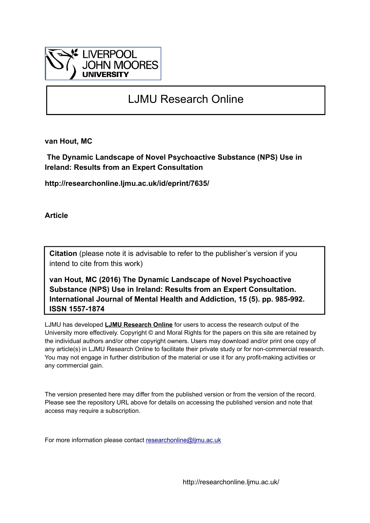

# LJMU Research Online

**van Hout, MC**

 **The Dynamic Landscape of Novel Psychoactive Substance (NPS) Use in Ireland: Results from an Expert Consultation**

**http://researchonline.ljmu.ac.uk/id/eprint/7635/**

**Article**

**Citation** (please note it is advisable to refer to the publisher's version if you intend to cite from this work)

**van Hout, MC (2016) The Dynamic Landscape of Novel Psychoactive Substance (NPS) Use in Ireland: Results from an Expert Consultation. International Journal of Mental Health and Addiction, 15 (5). pp. 985-992. ISSN 1557-1874** 

LJMU has developed **[LJMU Research Online](http://researchonline.ljmu.ac.uk/)** for users to access the research output of the University more effectively. Copyright © and Moral Rights for the papers on this site are retained by the individual authors and/or other copyright owners. Users may download and/or print one copy of any article(s) in LJMU Research Online to facilitate their private study or for non-commercial research. You may not engage in further distribution of the material or use it for any profit-making activities or any commercial gain.

The version presented here may differ from the published version or from the version of the record. Please see the repository URL above for details on accessing the published version and note that access may require a subscription.

For more information please contact [researchonline@ljmu.ac.uk](mailto:researchonline@ljmu.ac.uk)

http://researchonline.ljmu.ac.uk/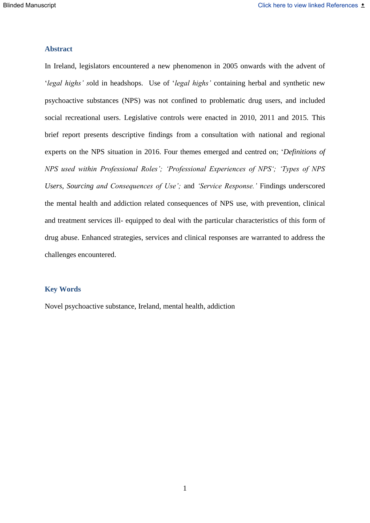## **Abstract**

In Ireland, legislators encountered a new phenomenon in 2005 onwards with the advent of '*legal highs' s*old in headshops. Use of '*legal highs'* containing herbal and synthetic new psychoactive substances (NPS) was not confined to problematic drug users, and included social recreational users. Legislative controls were enacted in 2010, 2011 and 2015. This brief report presents descriptive findings from a consultation with national and regional experts on the NPS situation in 2016. Four themes emerged and centred on; '*Definitions of NPS used within Professional Roles'; 'Professional Experiences of NPS'; 'Types of NPS Users, Sourcing and Consequences of Use';* and *'Service Response.'* Findings underscored the mental health and addiction related consequences of NPS use, with prevention, clinical and treatment services ill- equipped to deal with the particular characteristics of this form of drug abuse. Enhanced strategies, services and clinical responses are warranted to address the challenges encountered.

## **Key Words**

Novel psychoactive substance, Ireland, mental health, addiction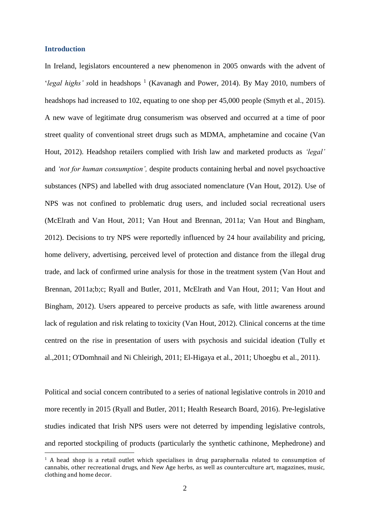### **Introduction**

In Ireland, legislators encountered a new phenomenon in 2005 onwards with the advent of '*legal highs'* sold in headshops<sup>1</sup> (Kavanagh and Power, 2014). By May 2010, numbers of headshops had increased to 102, equating to one shop per 45,000 people (Smyth et al., 2015). A new wave of legitimate drug consumerism was observed and occurred at a time of poor street quality of conventional street drugs such as MDMA, amphetamine and cocaine (Van Hout, 2012). Headshop retailers complied with Irish law and marketed products as *'legal'* and *'not for human consumption',* despite products containing herbal and novel psychoactive substances (NPS) and labelled with drug associated nomenclature (Van Hout, 2012). Use of NPS was not confined to problematic drug users, and included social recreational users (McElrath and Van Hout, 2011; Van Hout and Brennan, 2011a; Van Hout and Bingham, 2012). Decisions to try NPS were reportedly influenced by 24 hour availability and pricing, home delivery, advertising, perceived level of protection and distance from the illegal drug trade, and lack of confirmed urine analysis for those in the treatment system (Van Hout and Brennan, 2011a;b;c; Ryall and Butler, 2011, McElrath and Van Hout, 2011; Van Hout and Bingham, 2012). Users appeared to perceive products as safe, with little awareness around lack of regulation and risk relating to toxicity (Van Hout, 2012). Clinical concerns at the time centred on the rise in presentation of users with psychosis and suicidal ideation (Tully et al.,2011; O'Domhnail and Ni Chleirigh, 2011; El-Higaya et al., 2011; Uhoegbu et al., 2011).

Political and social concern contributed to a series of national legislative controls in 2010 and more recently in 2015 (Ryall and Butler, 2011; Health Research Board, 2016). Pre-legislative studies indicated that Irish NPS users were not deterred by impending legislative controls, and reported stockpiling of products (particularly the synthetic cathinone, Mephedrone) and

 $1$  A head shop is a retail outlet which specialises in drug paraphernalia related to consumption of cannabis, other recreational drugs, and New Age herbs, as well as counterculture art, magazines, music, clothing and home decor.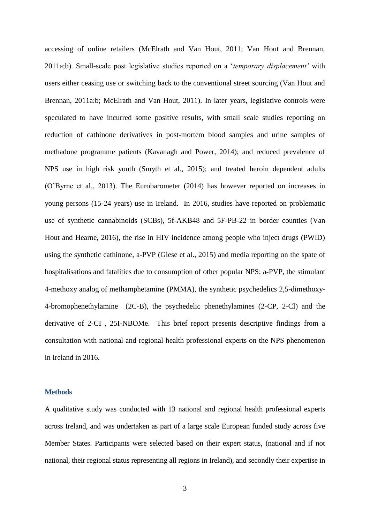accessing of online retailers (McElrath and Van Hout, 2011; Van Hout and Brennan, 2011a;b). Small-scale post legislative studies reported on a '*temporary displacement'* with users either ceasing use or switching back to the conventional street sourcing (Van Hout and Brennan, 2011a:b; McElrath and Van Hout, 2011). In later years, legislative controls were speculated to have incurred some positive results, with small scale studies reporting on reduction of cathinone derivatives in post-mortem blood samples and urine samples of methadone programme patients (Kavanagh and Power, 2014); and reduced prevalence of NPS use in high risk youth (Smyth et al., 2015); and treated heroin dependent adults (O'Byrne et al., 2013). The Eurobarometer (2014) has however reported on increases in young persons (15-24 years) use in Ireland. In 2016, studies have reported on problematic use of synthetic cannabinoids (SCBs), 5f-AKB48 and 5F-PB-22 in border counties (Van Hout and Hearne, 2016), the rise in HIV incidence among people who inject drugs (PWID) using the synthetic cathinone, a-PVP (Giese et al., 2015) and media reporting on the spate of hospitalisations and fatalities due to consumption of other popular NPS; a-PVP, the stimulant 4-methoxy analog of methamphetamine (PMMA), the synthetic psychedelics 2,5-dimethoxy-4-bromophenethylamine (2C-B), the psychedelic phenethylamines (2-CP, 2-Cl) and the derivative of 2-CI , 25I-NBOMe. This brief report presents descriptive findings from a consultation with national and regional health professional experts on the NPS phenomenon in Ireland in 2016.

### **Methods**

A qualitative study was conducted with 13 national and regional health professional experts across Ireland, and was undertaken as part of a large scale European funded study across five Member States. Participants were selected based on their expert status, (national and if not national, their regional status representing all regions in Ireland), and secondly their expertise in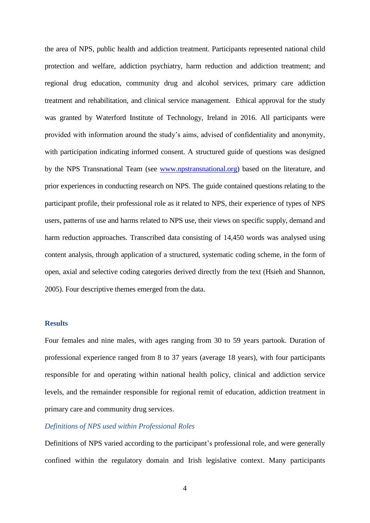the area of NPS, public health and addiction treatment. Participants represented national child protection and welfare, addiction psychiatry, harm reduction and addiction treatment; and regional drug education, community drug and alcohol services, primary care addiction treatment and rehabilitation, and clinical service management. Ethical approval for the study was granted by Waterford Institute of Technology, Ireland in 2016. All participants were provided with information around the study's aims, advised of confidentiality and anonymity, with participation indicating informed consent. A structured guide of questions was designed by the NPS Transnational Team (see [www.npstransnational.org\)](http://www.npstransnational.org/) based on the literature, and prior experiences in conducting research on NPS. The guide contained questions relating to the participant profile, their professional role as it related to NPS, their experience of types of NPS users, patterns of use and harms related to NPS use, their views on specific supply, demand and harm reduction approaches. Transcribed data consisting of 14,450 words was analysed using content analysis, through application of a structured, systematic coding scheme, in the form of open, axial and selective coding categories derived directly from the text (Hsieh and Shannon, 2005). Four descriptive themes emerged from the data.

## **Results**

Four females and nine males, with ages ranging from 30 to 59 years partook. Duration of professional experience ranged from 8 to 37 years (average 18 years), with four participants responsible for and operating within national health policy, clinical and addiction service levels, and the remainder responsible for regional remit of education, addiction treatment in primary care and community drug services.

### *Definitions of NPS used within Professional Roles*

Definitions of NPS varied according to the participant's professional role, and were generally confined within the regulatory domain and Irish legislative context. Many participants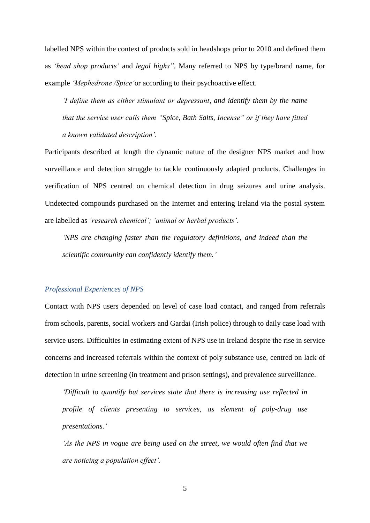labelled NPS within the context of products sold in headshops prior to 2010 and defined them as *'head shop products'* and *legal highs".* Many referred to NPS by type/brand name, for example *'Mephedrone /Spice'*or according to their psychoactive effect.

*'I define them as either stimulant or depressant, and identify them by the name that the service user calls them "Spice, Bath Salts, Incense" or if they have fitted a known validated description'.*

Participants described at length the dynamic nature of the designer NPS market and how surveillance and detection struggle to tackle continuously adapted products. Challenges in verification of NPS centred on chemical detection in drug seizures and urine analysis. Undetected compounds purchased on the Internet and entering Ireland via the postal system are labelled as *'research chemical'; 'animal or herbal products'*.

*'NPS are changing faster than the regulatory definitions, and indeed than the scientific community can confidently identify them.'*

#### *Professional Experiences of NPS*

Contact with NPS users depended on level of case load contact, and ranged from referrals from schools, parents, social workers and Gardai (Irish police) through to daily case load with service users. Difficulties in estimating extent of NPS use in Ireland despite the rise in service concerns and increased referrals within the context of poly substance use, centred on lack of detection in urine screening (in treatment and prison settings), and prevalence surveillance.

*'Difficult to quantify but services state that there is increasing use reflected in profile of clients presenting to services, as element of poly-drug use presentations.'*

*'As the NPS in vogue are being used on the street, we would often find that we are noticing a population effect'.*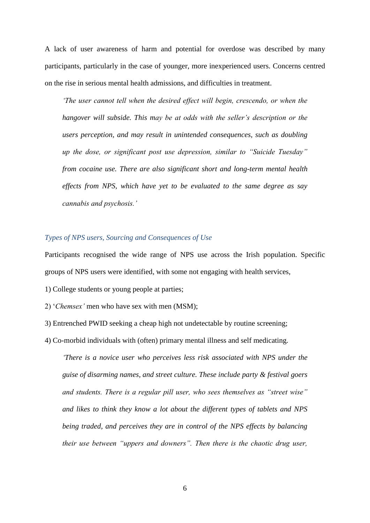A lack of user awareness of harm and potential for overdose was described by many participants, particularly in the case of younger, more inexperienced users. Concerns centred on the rise in serious mental health admissions, and difficulties in treatment.

*'The user cannot tell when the desired effect will begin, crescendo, or when the hangover will subside. This may be at odds with the seller's description or the users perception, and may result in unintended consequences, such as doubling up the dose, or significant post use depression, similar to "Suicide Tuesday" from cocaine use. There are also significant short and long-term mental health effects from NPS, which have yet to be evaluated to the same degree as say cannabis and psychosis.'*

## *Types of NPS users, Sourcing and Consequences of Use*

Participants recognised the wide range of NPS use across the Irish population. Specific groups of NPS users were identified, with some not engaging with health services,

1) College students or young people at parties;

2) '*Chemsex'* men who have sex with men (MSM);

3) Entrenched PWID seeking a cheap high not undetectable by routine screening;

4) Co-morbid individuals with (often) primary mental illness and self medicating.

*'There is a novice user who perceives less risk associated with NPS under the guise of disarming names, and street culture. These include party & festival goers and students. There is a regular pill user, who sees themselves as "street wise" and likes to think they know a lot about the different types of tablets and NPS being traded, and perceives they are in control of the NPS effects by balancing their use between "uppers and downers". Then there is the chaotic drug user,*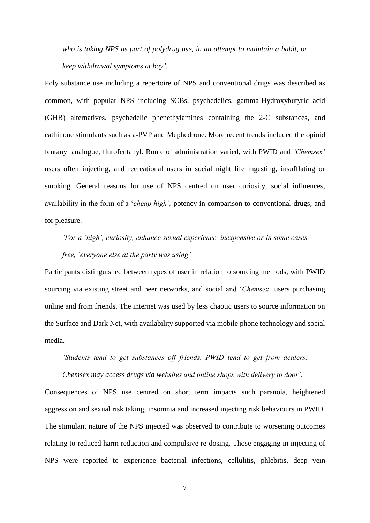*who is taking NPS as part of polydrug use, in an attempt to maintain a habit, or keep withdrawal symptoms at bay'.*

Poly substance use including a repertoire of NPS and conventional drugs was described as common, with popular NPS including SCBs, psychedelics, gamma-Hydroxybutyric acid (GHB) alternatives, psychedelic phenethylamines containing the 2-C substances, and cathinone stimulants such as a-PVP and Mephedrone. More recent trends included the opioid fentanyl analogue, flurofentanyl. Route of administration varied, with PWID and *'Chemsex'* users often injecting, and recreational users in social night life ingesting, insufflating or smoking. General reasons for use of NPS centred on user curiosity, social influences, availability in the form of a '*cheap high',* potency in comparison to conventional drugs, and for pleasure.

# *'For a 'high', curiosity, enhance sexual experience, inexpensive or in some cases free, 'everyone else at the party was using'*

Participants distinguished between types of user in relation to sourcing methods, with PWID sourcing via existing street and peer networks, and social and '*Chemsex'* users purchasing online and from friends. The internet was used by less chaotic users to source information on the Surface and Dark Net, with availability supported via mobile phone technology and social media.

*'Students tend to get substances off friends. PWID tend to get from dealers. Chemsex may access drugs via websites and online shops with delivery to door'.*

Consequences of NPS use centred on short term impacts such paranoia, heightened aggression and sexual risk taking, insomnia and increased injecting risk behaviours in PWID. The stimulant nature of the NPS injected was observed to contribute to worsening outcomes relating to reduced harm reduction and compulsive re-dosing. Those engaging in injecting of NPS were reported to experience bacterial infections, cellulitis, phlebitis, deep vein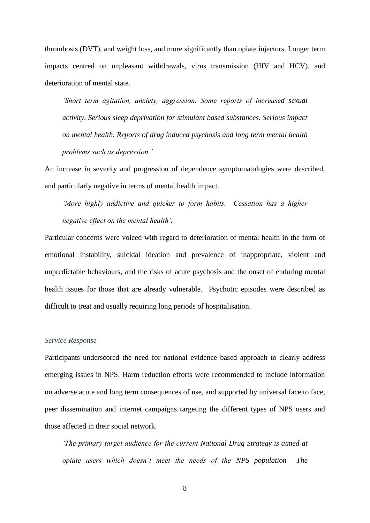thrombosis (DVT), and weight loss, and more significantly than opiate injectors. Longer term impacts centred on unpleasant withdrawals, virus transmission (HIV and HCV), and deterioration of mental state.

*'Short term agitation, anxiety, aggression. Some reports of increased sexual activity. Serious sleep deprivation for stimulant based substances. Serious impact on mental health. Reports of drug induced psychosis and long term mental health problems such as depression.'*

An increase in severity and progression of dependence symptomatologies were described, and particularly negative in terms of mental health impact.

*'More highly addictive and quicker to form habits. Cessation has a higher negative effect on the mental health'.*

Particular concerns were voiced with regard to deterioration of mental health in the form of emotional instability, suicidal ideation and prevalence of inappropriate, violent and unpredictable behaviours, and the risks of acute psychosis and the onset of enduring mental health issues for those that are already vulnerable. Psychotic episodes were described as difficult to treat and usually requiring long periods of hospitalisation.

#### *Service Response*

Participants underscored the need for national evidence based approach to clearly address emerging issues in NPS. Harm reduction efforts were recommended to include information on adverse acute and long term consequences of use, and supported by universal face to face, peer dissemination and internet campaigns targeting the different types of NPS users and those affected in their social network.

*'The primary target audience for the current National Drug Strategy is aimed at opiate users which doesn't meet the needs of the NPS population The*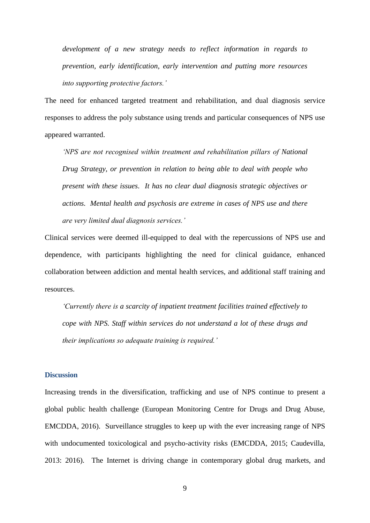*development of a new strategy needs to reflect information in regards to prevention, early identification, early intervention and putting more resources into supporting protective factors.'*

The need for enhanced targeted treatment and rehabilitation, and dual diagnosis service responses to address the poly substance using trends and particular consequences of NPS use appeared warranted.

*'NPS are not recognised within treatment and rehabilitation pillars of National Drug Strategy, or prevention in relation to being able to deal with people who present with these issues. It has no clear dual diagnosis strategic objectives or actions. Mental health and psychosis are extreme in cases of NPS use and there are very limited dual diagnosis services.'*

Clinical services were deemed ill-equipped to deal with the repercussions of NPS use and dependence, with participants highlighting the need for clinical guidance, enhanced collaboration between addiction and mental health services, and additional staff training and resources.

*'Currently there is a scarcity of inpatient treatment facilities trained effectively to cope with NPS. Staff within services do not understand a lot of these drugs and their implications so adequate training is required.'*

## **Discussion**

Increasing trends in the diversification, trafficking and use of NPS continue to present a global public health challenge (European Monitoring Centre for Drugs and Drug Abuse, EMCDDA, 2016). Surveillance struggles to keep up with the ever increasing range of NPS with undocumented toxicological and psycho-activity risks (EMCDDA, 2015; Caudevilla, 2013: 2016). The Internet is driving change in contemporary global drug markets, and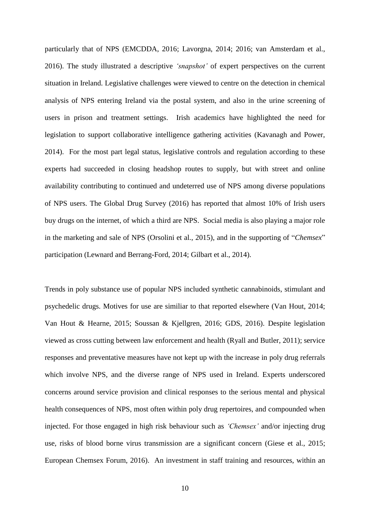particularly that of NPS (EMCDDA, 2016; Lavorgna, 2014; 2016; van Amsterdam et al., 2016). The study illustrated a descriptive *'snapshot'* of expert perspectives on the current situation in Ireland. Legislative challenges were viewed to centre on the detection in chemical analysis of NPS entering Ireland via the postal system, and also in the urine screening of users in prison and treatment settings. Irish academics have highlighted the need for legislation to support collaborative intelligence gathering activities (Kavanagh and Power, 2014). For the most part legal status, legislative controls and regulation according to these experts had succeeded in closing headshop routes to supply, but with street and online availability contributing to continued and undeterred use of NPS among diverse populations of NPS users. The Global Drug Survey (2016) has reported that almost 10% of Irish users buy drugs on the internet, of which a third are NPS. Social media is also playing a major role in the marketing and sale of NPS (Orsolini et al., 2015), and in the supporting of "*Chemsex*" participation (Lewnard and Berrang-Ford, 2014; Gilbart et al., 2014).

Trends in poly substance use of popular NPS included synthetic cannabinoids, stimulant and psychedelic drugs. Motives for use are similiar to that reported elsewhere (Van Hout, 2014; Van Hout & Hearne, 2015; Soussan & Kjellgren, 2016; GDS, 2016). Despite legislation viewed as cross cutting between law enforcement and health (Ryall and Butler, 2011); service responses and preventative measures have not kept up with the increase in poly drug referrals which involve NPS, and the diverse range of NPS used in Ireland. Experts underscored concerns around service provision and clinical responses to the serious mental and physical health consequences of NPS, most often within poly drug repertoires, and compounded when injected. For those engaged in high risk behaviour such as *'Chemsex'* and/or injecting drug use, risks of blood borne virus transmission are a significant concern (Giese et al., 2015; European Chemsex Forum, 2016). An investment in staff training and resources, within an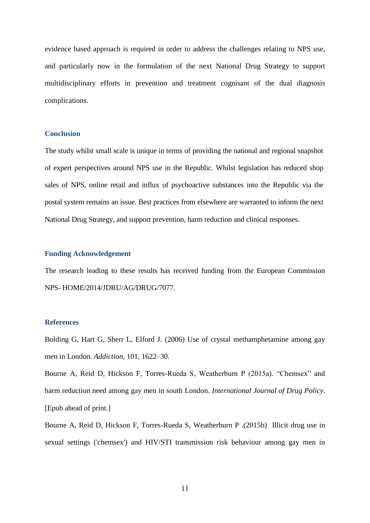evidence based approach is required in order to address the challenges relating to NPS use, and particularly now in the formulation of the next National Drug Strategy to support multidisciplinary efforts in prevention and treatment cognisant of the dual diagnosis complications.

## **Conclusion**

The study whilst small scale is unique in terms of providing the national and regional snapshot of expert perspectives around NPS use in the Republic. Whilst legislation has reduced shop sales of NPS, online retail and influx of psychoactive substances into the Republic via the postal system remains an issue. Best practices from elsewhere are warranted to inform the next National Drug Strategy, and support prevention, harm reduction and clinical responses.

### **Funding Acknowledgement**

The research leading to these results has received funding from the European Commission NPS- HOME/2014/JDRU/AG/DRUG/7077.

### **References**

Bolding G, Hart G, Sherr L, Elford J. (2006) Use of crystal methamphetamine among gay men in London. *Addiction*, 101, 1622–30.

Bourne A, Reid D, Hickson F, Torres-Rueda S, Weatherburn P (2015a). "Chemsex" and harm reduction need among gay men in south London. *International Journal of Drug Policy*. [Epub ahead of print.]

[Bourne A, Reid D, Hickson F, Torres-Rueda S, Weatherburn P](file:///C:/pubmed/) .(2015b) Illicit drug use in sexual settings ('chemsex') and HIV/STI transmission risk behaviour among gay men in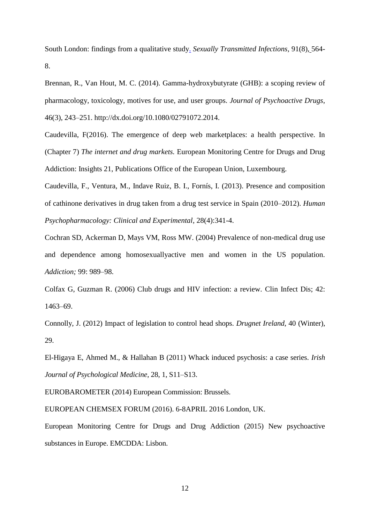South London: findings from a qualitative study. *[Sexually Transmitted Infections,](file:///C:/Users/MarieClaire/Desktop/Publications%202016/Chemsex/Chemsex/Illicit%20drug%20use%20in%20sexual%20settings%20()* 91(8), 564- 8.

Brennan, R., Van Hout, M. C. (2014). Gamma-hydroxybutyrate (GHB): a scoping review of pharmacology, toxicology, motives for use, and user groups. *Journal of Psychoactive Drugs*, 46(3), 243–251. http://dx.doi.org/10.1080/02791072.2014.

Caudevilla, F(2016). The emergence of deep web marketplaces: a health perspective. In (Chapter 7) *The internet and drug markets.* European Monitoring Centre for Drugs and Drug Addiction: Insights 21, Publications Office of the European Union, Luxembourg.

Caudevilla, F., Ventura, M., Indave Ruiz, B. I., Fornís, I. (2013). Presence and composition of cathinone derivatives in drug taken from a drug test service in Spain (2010–2012). *Human Psychopharmacology: Clinical and Experimental*, 28(4):341-4.

Cochran SD, Ackerman D, Mays VM, Ross MW. (2004) Prevalence of non-medical drug use and dependence among homosexuallyactive men and women in the US population. *Addiction;* 99: 989–98.

Colfax G, Guzman R. (2006) Club drugs and HIV infection: a review. Clin Infect Dis; 42: 1463–69.

Connolly, J. (2012) Impact of legislation to control head shops. *Drugnet Ireland*, 40 (Winter), 29.

El-Higaya E, Ahmed M., & Hallahan B (2011) Whack induced psychosis: a case series*. Irish Journal of Psychological Medicine*, 28, 1, S11–S13.

EUROBAROMETER (2014) European Commission: Brussels.

EUROPEAN CHEMSEX FORUM (2016). 6-8APRIL 2016 London, UK.

European Monitoring Centre for Drugs and Drug Addiction (2015) New psychoactive substances in Europe. EMCDDA: Lisbon.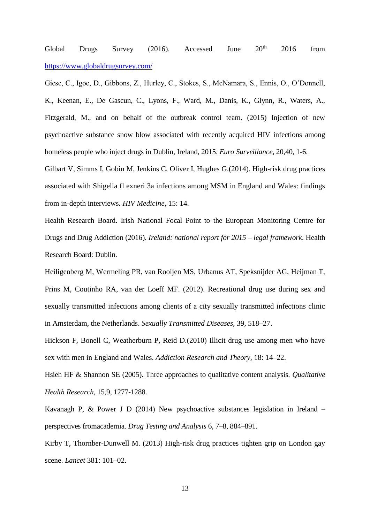Global Drugs Survey (2016). Accessed June  $20^{th}$  2016 from <https://www.globaldrugsurvey.com/>

Giese, C., Igoe, D., Gibbons, Z., Hurley, C., Stokes, S., McNamara, S., Ennis, O., O'Donnell, K., Keenan, E., De Gascun, C., Lyons, F., Ward, M., Danis, K., Glynn, R., Waters, A., Fitzgerald, M., and on behalf of the outbreak control team. (2015) Injection of new psychoactive substance snow blow associated with recently acquired HIV infections among homeless people who inject drugs in Dublin, Ireland, 2015. *Euro Surveillance*, 20,40, 1-6.

Gilbart V, Simms I, Gobin M, Jenkins C, Oliver I, Hughes G.(2014). High-risk drug practices associated with Shigella fl exneri 3a infections among MSM in England and Wales: findings from in-depth interviews. *HIV Medicine*, 15: 14.

Health Research Board. Irish National Focal Point to the European Monitoring Centre for Drugs and Drug Addiction (2016). *Ireland: national report for 2015 – legal framework*. Health Research Board: Dublin.

Heiligenberg M, Wermeling PR, van Rooijen MS, [Urbanus AT,](http://www.ncbi.nlm.nih.gov/pubmed/?term=Urbanus%20AT%5BAuthor%5D&cauthor=true&cauthor_uid=22706213) [Speksnijder AG,](http://www.ncbi.nlm.nih.gov/pubmed/?term=Speksnijder%20AG%5BAuthor%5D&cauthor=true&cauthor_uid=22706213) [Heijman T,](http://www.ncbi.nlm.nih.gov/pubmed/?term=Heijman%20T%5BAuthor%5D&cauthor=true&cauthor_uid=22706213) [Prins M,](http://www.ncbi.nlm.nih.gov/pubmed/?term=Prins%20M%5BAuthor%5D&cauthor=true&cauthor_uid=22706213) [Coutinho RA,](http://www.ncbi.nlm.nih.gov/pubmed/?term=Coutinho%20RA%5BAuthor%5D&cauthor=true&cauthor_uid=22706213) [van der Loeff MF.](http://www.ncbi.nlm.nih.gov/pubmed/?term=van%20der%20Loeff%20MF%5BAuthor%5D&cauthor=true&cauthor_uid=22706213) (2012). Recreational drug use during sex and sexually transmitted infections among clients of a city sexually transmitted infections clinic in Amsterdam, the Netherlands. *Sexually Transmitted Diseases*, 39, 518–27.

Hickson F, Bonell C, Weatherburn P, Reid D.(2010) Illicit drug use among men who have sex with men in England and Wales. *Addiction Research and Theory,* 18: 14–22.

[Hsieh HF](http://www.ncbi.nlm.nih.gov/pubmed/?term=Hsieh%20HF%5BAuthor%5D&cauthor=true&cauthor_uid=16204405) & [Shannon SE](http://www.ncbi.nlm.nih.gov/pubmed/?term=Shannon%20SE%5BAuthor%5D&cauthor=true&cauthor_uid=16204405) (2005). Three approaches to qualitative content analysis. *Qualitative Health Research,* 15,9, 1277-1288.

Kavanagh P, & Power J D (2014) New psychoactive substances legislation in Ireland – perspectives fromacademia. *Drug Testing and Analysis* 6, 7–8, 884–891.

Kirby T, Thornber-Dunwell M. (2013) High-risk drug practices tighten grip on London gay scene. *Lancet* 381: 101–02.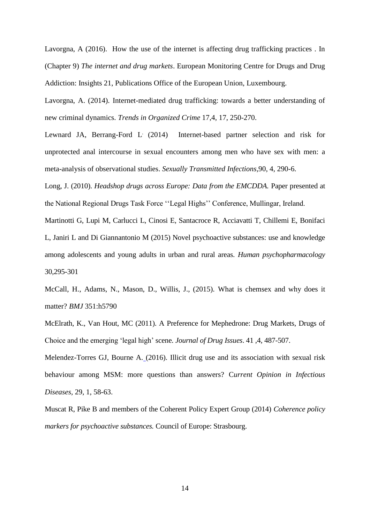Lavorgna, A (2016). How the use of the internet is affecting drug trafficking practices . In (Chapter 9) *The internet and drug markets*. European Monitoring Centre for Drugs and Drug Addiction: Insights 21, Publications Office of the European Union, Luxembourg.

Lavorgna, A. (2014). Internet-mediated drug trafficking: towards a better understanding of new criminal dynamics. *Trends in Organized Crime* 17,4, 17, 250-270.

[Lewnard JA,](file:///C:/pubmed/) [Berrang-Ford L](file:///C:/pubmed/) Internet-based partner selection and risk for unprotected anal intercourse in sexual encounters among men who have sex with men: a meta-analysis of observational studies. *[Sexually Transmitted Infections](file:///C:/Users/MarieClaire/Desktop/Publications%202016/Chemsex/Chemsex/Internet-based%20partner%20selection%20and%20risk%20for%20unprotected%20anal%20intercourse%20in%20sexual%20encounters%20among%20men%20who%20have%20sex%20with%20men%20a%20meta-analysis%20of___%20-%20PubMed%20-%20NCBI.htm)*,90, 4, 290-6.

Long, J. (2010). *Headshop drugs across Europe: Data from the EMCDDA.* Paper presented at the National Regional Drugs Task Force ''Legal Highs'' Conference, Mullingar, Ireland.

Martinotti G, Lupi M, Carlucci L, Cinosi E, Santacroce R, Acciavatti T, Chillemi E, Bonifaci L, Janiri L and Di Giannantonio M (2015) Novel psychoactive substances: use and knowledge among adolescents and young adults in urban and rural areas. *Human psychopharmacology* 30,295-301

McCall, H., Adams, N., Mason, D., Willis, J., (2015). What is chemsex and why does it matter? *BMJ* 351:h5790

McElrath, K., Van Hout, MC (2011). A Preference for Mephedrone: Drug Markets, Drugs of Choice and the emerging 'legal high' scene. *Journal of Drug Issues*. 41 ,4, 487-507.

[Melendez-Torres GJ, Bourne A.](file:///C:/pubmed/) (2016). Illicit drug use and its association with sexual risk behaviour among MSM: more questions than answers? C*[urrent Opinion in Infectious](file:///C:/Users/MarieClaire/Desktop/Publications%202016/Chemsex/Chemsex/Illicit%20drug%20use%20and%20its%20association%20with%20sexual%20risk%20behaviour%20among%20MSM%20more%20questions%20than%20answers%20-%20PubMed%20-%20NCBI.htm)  [Diseases,](file:///C:/Users/MarieClaire/Desktop/Publications%202016/Chemsex/Chemsex/Illicit%20drug%20use%20and%20its%20association%20with%20sexual%20risk%20behaviour%20among%20MSM%20more%20questions%20than%20answers%20-%20PubMed%20-%20NCBI.htm)* 29, 1, 58-63.

Muscat R, Pike B and members of the Coherent Policy Expert Group (2014) *Coherence policy markers for psychoactive substances.* Council of Europe: Strasbourg.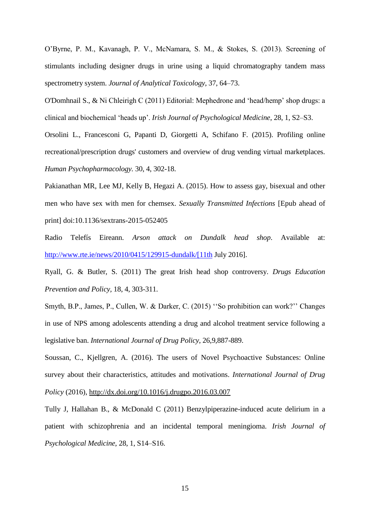O'Byrne, P. M., Kavanagh, P. V., McNamara, S. M., & Stokes, S. (2013). Screening of stimulants including designer drugs in urine using a liquid chromatography tandem mass spectrometry system. *Journal of Analytical Toxicology*, 37, 64–73.

O'Domhnail S., & Ni Chleirigh C (2011) Editorial: Mephedrone and 'head/hemp' shop drugs: a clinical and biochemical 'heads up'. *Irish Journal of Psychological Medicine*, 28, 1, S2–S3.

[Orsolini L.](http://www.ncbi.nlm.nih.gov/pubmed/?term=Orsolini%20L%5BAuthor%5D&cauthor=true&cauthor_uid=26216567), [Francesconi G,](http://www.ncbi.nlm.nih.gov/pubmed/?term=Francesconi%20G%5BAuthor%5D&cauthor=true&cauthor_uid=26216567) [Papanti D,](http://www.ncbi.nlm.nih.gov/pubmed/?term=Papanti%20D%5BAuthor%5D&cauthor=true&cauthor_uid=26216567) [Giorgetti A](http://www.ncbi.nlm.nih.gov/pubmed/?term=Giorgetti%20A%5BAuthor%5D&cauthor=true&cauthor_uid=26216567), [Schifano F.](http://www.ncbi.nlm.nih.gov/pubmed/?term=Schifano%20F%5BAuthor%5D&cauthor=true&cauthor_uid=26216567) (2015). Profiling online recreational/prescription drugs' customers and overview of drug vending virtual marketplaces. *[Human Psychopharmacology.](http://www.ncbi.nlm.nih.gov/pubmed/26216567)* 30, 4, 302-18.

[Pakianathan MR, Lee MJ, Kelly B, Hegazi A.](file:///C:/pubmed/) (2015). How to assess gay, bisexual and other men who have sex with men for chemsex. *Sexually Transmitted Infections* [Epub ahead of print] doi:10.1136/sextrans-2015-052405

Radio Telefís Eireann. *Arson attack on Dundalk head shop*. Available at: [http://www.rte.ie/news/2010/0415/129915-dundalk/\[11th](http://www.rte.ie/news/2010/0415/129915-dundalk/%5b11th) July 2016].

Ryall, G. & Butler, S. (2011) The great Irish head shop controversy. *Drugs Education Prevention and Policy,* 18, 4, 303-311.

Smyth, B.P., James, P., Cullen, W. & Darker, C. (2015) ''So prohibition can work?'' Changes in use of NPS among adolescents attending a drug and alcohol treatment service following a legislative ban. *International Journal of Drug Policy*, 26,9,887-889.

Soussan, C., Kjellgren, A. (2016). The users of Novel Psychoactive Substances: Online survey about their characteristics, attitudes and motivations. *International Journal of Drug Policy* (2016),<http://dx.doi.org/10.1016/j.drugpo.2016.03.007>

Tully J, Hallahan B., & McDonald C (2011) Benzylpiperazine-induced acute delirium in a patient with schizophrenia and an incidental temporal meningioma. *Irish Journal of Psychological Medicine*, 28, 1, S14–S16.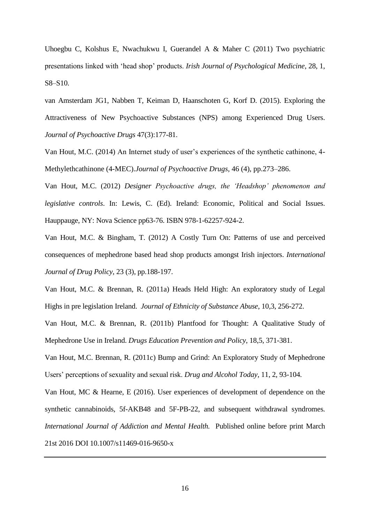Uhoegbu C, Kolshus E, Nwachukwu I, Guerandel A & Maher C (2011) Two psychiatric presentations linked with 'head shop' products. *Irish Journal of Psychological Medicine*, 28, 1, S8–S10.

[van Amsterdam JG1](http://www.ncbi.nlm.nih.gov/pubmed/?term=van%20Amsterdam%20JG%5BAuthor%5D&cauthor=true&cauthor_uid=26098724), [Nabben T,](http://www.ncbi.nlm.nih.gov/pubmed/?term=Nabben%20T%5BAuthor%5D&cauthor=true&cauthor_uid=26098724) [Keiman D,](http://www.ncbi.nlm.nih.gov/pubmed/?term=Keiman%20D%5BAuthor%5D&cauthor=true&cauthor_uid=26098724) [Haanschoten G,](http://www.ncbi.nlm.nih.gov/pubmed/?term=Haanschoten%20G%5BAuthor%5D&cauthor=true&cauthor_uid=26098724) [Korf D.](http://www.ncbi.nlm.nih.gov/pubmed/?term=Korf%20D%5BAuthor%5D&cauthor=true&cauthor_uid=26098724) (2015). Exploring the Attractiveness of New Psychoactive Substances (NPS) among Experienced Drug Users. *[Journal of Psychoactive Drugs](http://www.ncbi.nlm.nih.gov/pubmed/26098724)* 47(3):177-81.

Van Hout, M.C. (2014) An Internet study of user's experiences of the synthetic cathinone, 4- Methylethcathinone (4-MEC).*Journal of Psychoactive Drugs,* 46 (4), pp.273–286.

Van Hout, M.C. (2012) *Designer Psychoactive drugs, the 'Headshop' phenomenon and legislative controls*. In: Lewis, C. (Ed). Ireland: Economic, Political and Social Issues. Hauppauge, NY: Nova Science pp63-76. ISBN 978-1-62257-924-2.

Van Hout, M.C. & Bingham, T. (2012) A Costly Turn On: Patterns of use and perceived consequences of mephedrone based head shop products amongst Irish injectors. *International Journal of Drug Policy*, 23 (3), pp.188-197.

Van Hout, M.C. & Brennan, R. (2011a) Heads Held High: An exploratory study of Legal Highs in pre legislation Ireland. *Journal of Ethnicity of Substance Abuse*, 10,3, 256-272.

Van Hout, M.C. & Brennan, R. (2011b) Plantfood for Thought: A Qualitative Study of Mephedrone Use in Ireland. *Drugs Education Prevention and Policy*, 18,5, 371-381.

Van Hout, M.C. Brennan, R. (2011c) Bump and Grind: An Exploratory Study of Mephedrone Users' perceptions of sexuality and sexual risk. *Drug and Alcohol Today*, 11, 2, 93-104.

Van Hout, MC & Hearne, E (2016). User experiences of development of dependence on the synthetic cannabinoids, 5f-AKB48 and 5F-PB-22, and subsequent withdrawal syndromes*. International Journal of Addiction and Mental Health.* Published online before print March 21st 2016 DOI 10.1007/s11469-016-9650-x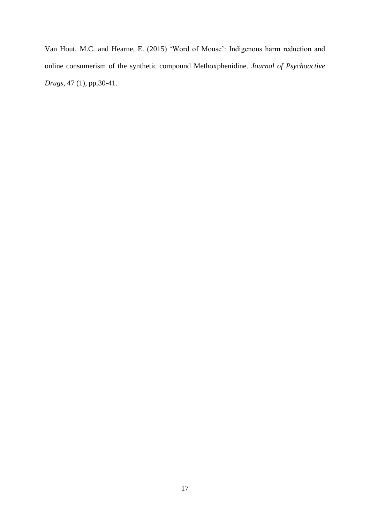Van Hout, M.C. and Hearne, E. (2015) 'Word of Mouse': Indigenous harm reduction and online consumerism of the synthetic compound Methoxphenidine. *Journal of Psychoactive Drugs*, 47 (1), pp.30-41.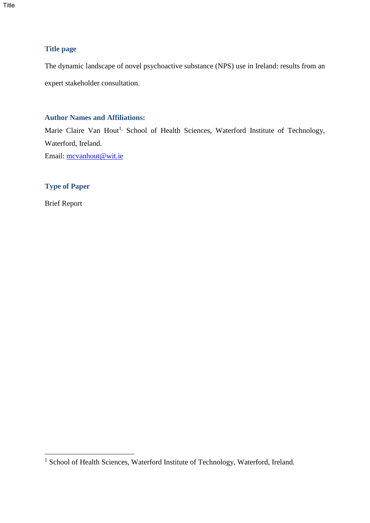Title

## **Title page**

The dynamic landscape of novel psychoactive substance (NPS) use in Ireland: results from an expert stakeholder consultation.

## **Author Names and Affiliations:**

Marie Claire Van Hout<sup>1,</sup> School of Health Sciences, Waterford Institute of Technology, Waterford, Ireland.

Email: [mcvanhout@wit.ie](mailto:mcvanhout@wit.ie)

# **Type of Paper**

Brief Report

1

<sup>&</sup>lt;sup>1</sup> School of Health Sciences, Waterford Institute of Technology, Waterford, Ireland.